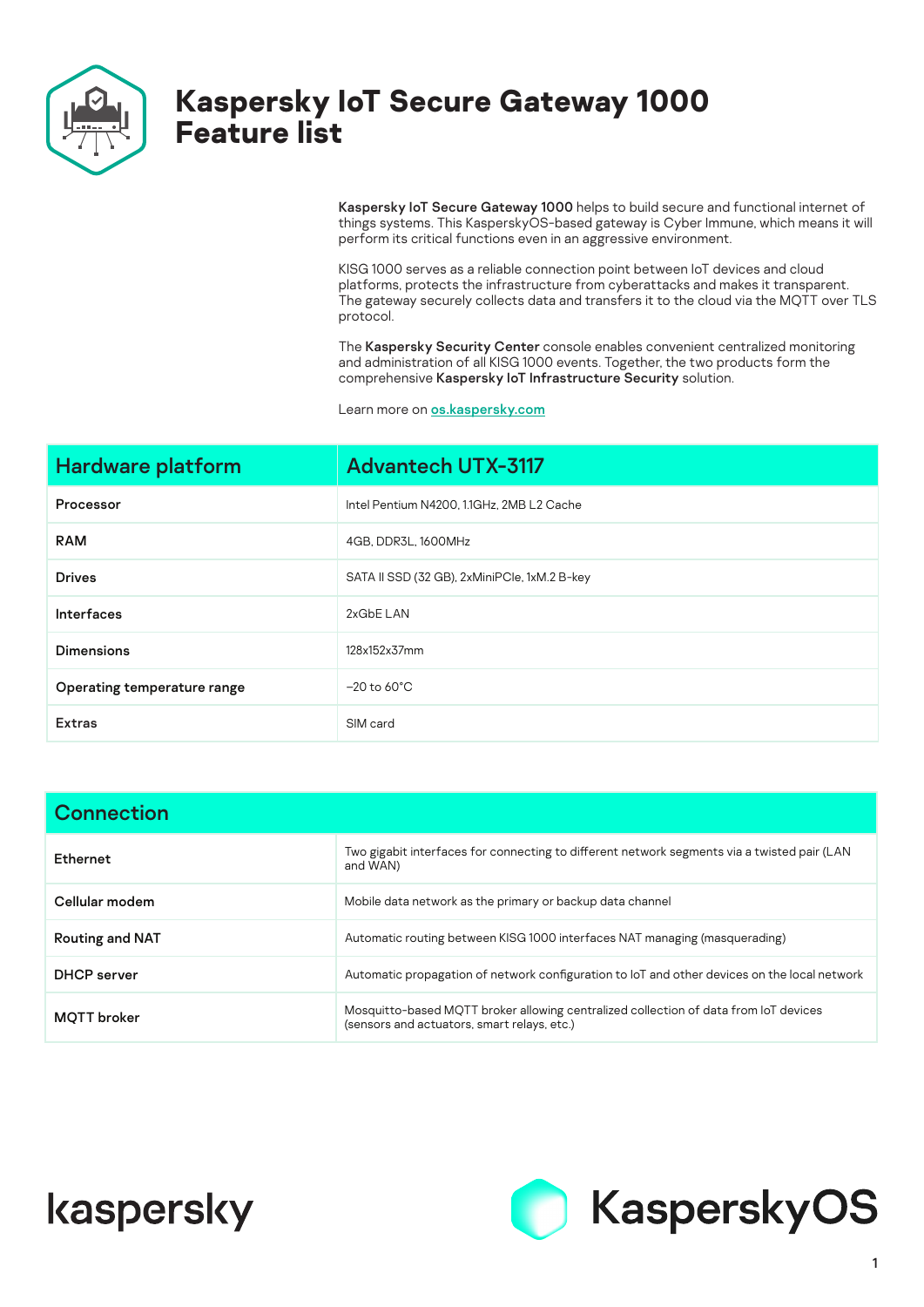

## **Kaspersky IoT Secure Gateway 1000 Feature list**

Kaspersky IoT Secure Gateway 1000 helps to build secure and functional internet of things systems. This KasperskyOS-based gateway is Cyber Immune, which means it will perform its critical functions even in an aggressive environment.

KISG 1000 serves as a reliable connection point between IoT devices and cloud platforms, protects the infrastructure from cyberattacks and makes it transparent. The gateway securely collects data and transfers it to the cloud via the MQTT over TLS protocol.

The Kaspersky Security Center console enables convenient centralized monitoring and administration of all KISG 1000 events. Together, the two products form the comprehensive Kaspersky IoT Infrastructure Security solution.

Learn more on [os.kaspersky.c](http://os.kaspersky.com)om

| <b>Hardware platform</b>    | <b>Advantech UTX-3117</b>                    |
|-----------------------------|----------------------------------------------|
| Processor                   | Intel Pentium N4200, 1.1GHz, 2MB L2 Cache    |
| <b>RAM</b>                  | 4GB, DDR3L, 1600MHz                          |
| <b>Drives</b>               | SATA II SSD (32 GB), 2xMiniPCle, 1xM.2 B-key |
| <b>Interfaces</b>           | 2xGbE LAN                                    |
| <b>Dimensions</b>           | 128x152x37mm                                 |
| Operating temperature range | $-20$ to 60 $^{\circ}$ C                     |
| <b>Extras</b>               | SIM card                                     |

| <b>Connection</b>      |                                                                                                                                     |  |
|------------------------|-------------------------------------------------------------------------------------------------------------------------------------|--|
| Ethernet               | Two gigabit interfaces for connecting to different network segments via a twisted pair (LAN<br>and WAN)                             |  |
| Cellular modem         | Mobile data network as the primary or backup data channel                                                                           |  |
| <b>Routing and NAT</b> | Automatic routing between KISG 1000 interfaces NAT managing (masquerading)                                                          |  |
| <b>DHCP</b> server     | Automatic propagation of network configuration to loT and other devices on the local network                                        |  |
| <b>MOTT</b> broker     | Mosquitto-based MQTT broker allowing centralized collection of data from IoT devices<br>(sensors and actuators, smart relays, etc.) |  |